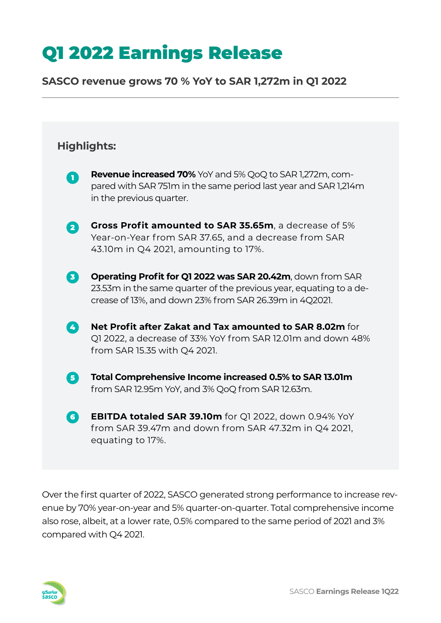### **SASCO revenue grows 70 % YoY to SAR 1,272m in Q1 2022**

# **Highlights: Revenue increased 70%** YoY and 5% QoQ to SAR 1,272m, compared with SAR 751m in the same period last year and SAR 1,214m in the previous quarter. **Gross Profit amounted to SAR 35.65m**, a decrease of 5% Year-on-Year from SAR 37.65, and a decrease from SAR 43.10m in Q4 2021, amounting to 17%. **Operating Profit for Q1 2022 was SAR 20.42m**, down from SAR 23.53m in the same quarter of the previous year, equating to a decrease of 13%, and down 23% from SAR 26.39m in 4Q2021. **Net Profit after Zakat and Tax amounted to SAR 8.02m** for Q1 2022, a decrease of 33% YoY from SAR 12.01m and down 48% from SAR 15.35 with Q4 2021. **Total Comprehensive Income increased 0.5% to SAR 13.01m** from SAR 12.95m YoY, and 3% QoQ from SAR 12.63m. **EBITDA totaled SAR 39.10m** for Q1 2022, down 0.94% YoY from SAR 39.47m and down from SAR 47.32m in Q4 2021, equating to 17%. 6 2 8 4 5 6

Over the first quarter of 2022, SASCO generated strong performance to increase revenue by 70% year-on-year and 5% quarter-on-quarter. Total comprehensive income also rose, albeit, at a lower rate, 0.5% compared to the same period of 2021 and 3% compared with Q4 2021.

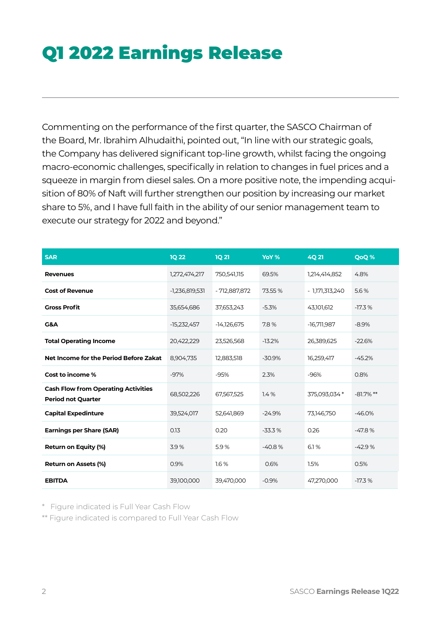Commenting on the performance of the first quarter, the SASCO Chairman of the Board, Mr. Ibrahim Alhudaithi, pointed out, "In line with our strategic goals, the Company has delivered significant top-line growth, whilst facing the ongoing macro-economic challenges, specifically in relation to changes in fuel prices and a squeeze in margin from diesel sales. On a more positive note, the impending acquisition of 80% of Naft will further strengthen our position by increasing our market share to 5%, and I have full faith in the ability of our senior management team to execute our strategy for 2022 and beyond."

| <b>SAR</b>                                                              | <b>1Q 22</b>     | <b>1Q 21</b>  | YoY %    | <b>4Q21</b>     | QoQ %        |
|-------------------------------------------------------------------------|------------------|---------------|----------|-----------------|--------------|
| <b>Revenues</b>                                                         | 1,272,474,217    | 750,541,115   | 69.5%    | 1,214,414,852   | 4.8%         |
| <b>Cost of Revenue</b>                                                  | $-1,236,819,531$ | - 712,887,872 | 73.55 %  | - 1,171,313,240 | 5.6%         |
| <b>Gross Profit</b>                                                     | 35,654,686       | 37,653,243    | $-5.3%$  | 43,101,612      | $-17.3%$     |
| G&A                                                                     | -15,232,457      | $-14,126,675$ | 7.8%     | $-16,711,987$   | $-8.9%$      |
| <b>Total Operating Income</b>                                           | 20,422,229       | 23,526,568    | $-13.2%$ | 26,389,625      | $-22.6%$     |
| Net Income for the Period Before Zakat                                  | 8,904,735        | 12,883,518    | $-30.9%$ | 16,259,417      | $-45.2%$     |
| Cost to income %                                                        | $-97%$           | $-95%$        | 2.3%     | $-96%$          | 0.8%         |
| <b>Cash Flow from Operating Activities</b><br><b>Period not Quarter</b> | 68,502,226       | 67,567,525    | 1.4%     | 375,093,034 *   | $-81.7\%$ ** |
| <b>Capital Expedinture</b>                                              | 39,524,017       | 52,641,869    | $-24.9%$ | 73,146,750      | $-46.0%$     |
| <b>Earnings per Share (SAR)</b>                                         | 0.13             | 0.20          | $-33.3%$ | 0.26            | $-47.8%$     |
| <b>Return on Equity (%)</b>                                             | 3.9%             | 5.9%          | $-40.8%$ | 6.1%            | $-42.9%$     |
| Return on Assets (%)                                                    | 0.9%             | 1.6%          | 0.6%     | 1.5%            | 0.5%         |
| <b>EBITDA</b>                                                           | 39,100,000       | 39,470,000    | $-0.9%$  | 47,270,000      | $-17.3%$     |

\* Figure indicated is Full Year Cash Flow

\*\* Figure indicated is compared to Full Year Cash Flow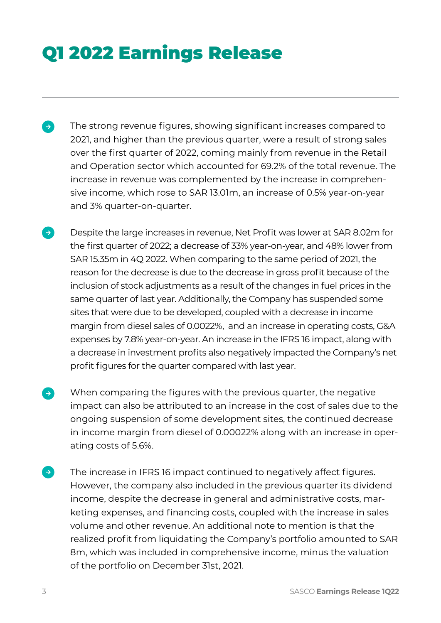- The strong revenue figures, showing significant increases compared to  $\rightarrow$ 2021, and higher than the previous quarter, were a result of strong sales over the first quarter of 2022, coming mainly from revenue in the Retail and Operation sector which accounted for 69.2% of the total revenue. The increase in revenue was complemented by the increase in comprehensive income, which rose to SAR 13.01m, an increase of 0.5% year-on-year and 3% quarter-on-quarter.
- Despite the large increases in revenue, Net Profit was lower at SAR 8.02m for the first quarter of 2022; a decrease of 33% year-on-year, and 48% lower from SAR 15.35m in 4Q 2022. When comparing to the same period of 2021, the reason for the decrease is due to the decrease in gross profit because of the inclusion of stock adjustments as a result of the changes in fuel prices in the same quarter of last year. Additionally, the Company has suspended some sites that were due to be developed, coupled with a decrease in income margin from diesel sales of 0.0022%, and an increase in operating costs, G&A expenses by 7.8% year-on-year. An increase in the IFRS 16 impact, along with a decrease in investment profits also negatively impacted the Company's net profit figures for the quarter compared with last year.
- When comparing the figures with the previous quarter, the negative impact can also be attributed to an increase in the cost of sales due to the ongoing suspension of some development sites, the continued decrease in income margin from diesel of 0.00022% along with an increase in operating costs of 5.6%.
- $\rightarrow$ The increase in IFRS 16 impact continued to negatively affect figures. However, the company also included in the previous quarter its dividend income, despite the decrease in general and administrative costs, marketing expenses, and financing costs, coupled with the increase in sales volume and other revenue. An additional note to mention is that the realized profit from liquidating the Company's portfolio amounted to SAR 8m, which was included in comprehensive income, minus the valuation of the portfolio on December 31st, 2021.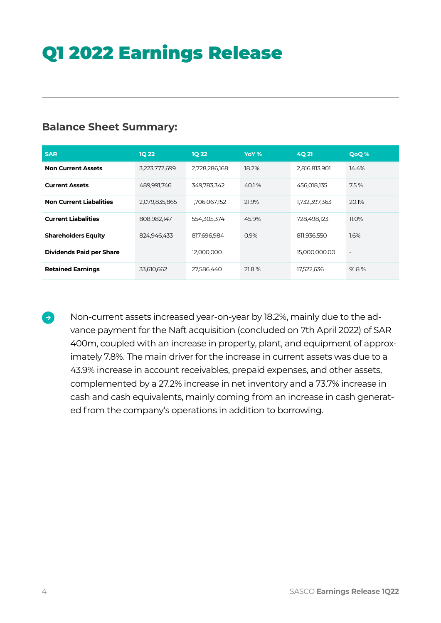### **Balance Sheet Summary:**

| <b>SAR</b>                      | <b>1Q 22</b>  | <b>1Q 22</b>  | YoY % | 4Q 21         | <b>QoQ%</b>              |
|---------------------------------|---------------|---------------|-------|---------------|--------------------------|
| <b>Non Current Assets</b>       | 3,223,772,699 | 2,728,286,168 | 18.2% | 2,816,813,901 | 14.4%                    |
| <b>Current Assets</b>           | 489,991,746   | 349,783,342   | 40.1% | 456,018,135   | 7.5%                     |
| <b>Non Current Liabalities</b>  | 2,079,835,865 | 1,706,067,152 | 21.9% | 1,732,397,363 | 20.1%                    |
| <b>Current Liabalities</b>      | 808,982,147   | 554,305,374   | 45.9% | 728,498,123   | <b>11.0%</b>             |
| <b>Shareholders Equity</b>      | 824,946,433   | 817,696,984   | 0.9%  | 811,936,550   | $1.6\%$                  |
| <b>Dividends Paid per Share</b> |               | 12,000,000    |       | 15,000,000.00 | $\overline{\phantom{a}}$ |
| <b>Retained Earnings</b>        | 33,610,662    | 27,586,440    | 21.8% | 17,522,636    | 91.8%                    |

Non-current assets increased year-on-year by 18.2%, mainly due to the advance payment for the Naft acquisition (concluded on 7th April 2022) of SAR 400m, coupled with an increase in property, plant, and equipment of approximately 7.8%. The main driver for the increase in current assets was due to a 43.9% increase in account receivables, prepaid expenses, and other assets, complemented by a 27.2% increase in net inventory and a 73.7% increase in cash and cash equivalents, mainly coming from an increase in cash generated from the company's operations in addition to borrowing.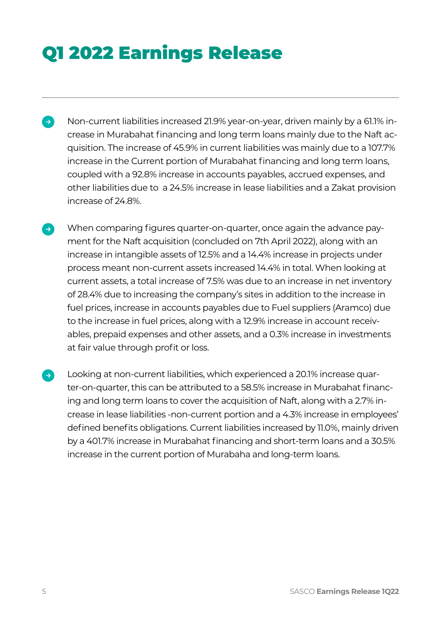- Non-current liabilities increased 21.9% year-on-year, driven mainly by a 61.1% in- $\rightarrow$ crease in Murabahat financing and long term loans mainly due to the Naft acquisition. The increase of 45.9% in current liabilities was mainly due to a 107.7% increase in the Current portion of Murabahat financing and long term loans, coupled with a 92.8% increase in accounts payables, accrued expenses, and other liabilities due to a 24.5% increase in lease liabilities and a Zakat provision increase of 24.8%.
- When comparing figures quarter-on-quarter, once again the advance pay- $\rightarrow$ ment for the Naft acquisition (concluded on 7th April 2022), along with an increase in intangible assets of 12.5% and a 14.4% increase in projects under process meant non-current assets increased 14.4% in total. When looking at current assets, a total increase of 7.5% was due to an increase in net inventory of 28.4% due to increasing the company's sites in addition to the increase in fuel prices, increase in accounts payables due to Fuel suppliers (Aramco) due to the increase in fuel prices, along with a 12.9% increase in account receivables, prepaid expenses and other assets, and a 0.3% increase in investments at fair value through profit or loss.
- Looking at non-current liabilities, which experienced a 20.1% increase quarter-on-quarter, this can be attributed to a 58.5% increase in Murabahat financing and long term loans to cover the acquisition of Naft, along with a 2.7% increase in lease liabilities -non-current portion and a 4.3% increase in employees' defined benefits obligations. Current liabilities increased by 11.0%, mainly driven by a 401.7% increase in Murabahat financing and short-term loans and a 30.5% increase in the current portion of Murabaha and long-term loans.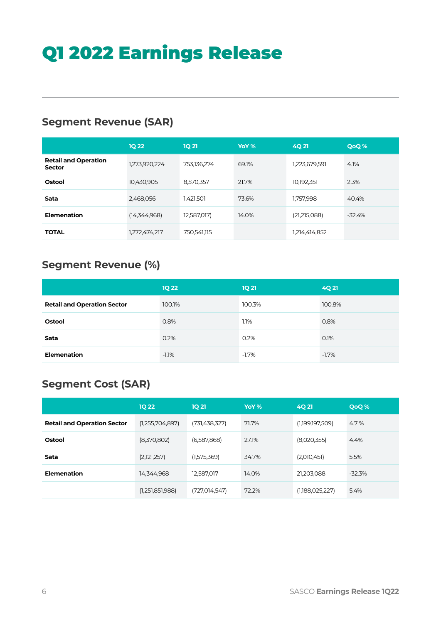## **Segment Revenue (SAR)**

|                                              | <b>1Q 22</b>  | <b>1Q 21</b> | YoY % | <b>4Q21</b>   | <b>QoQ%</b> |
|----------------------------------------------|---------------|--------------|-------|---------------|-------------|
| <b>Retail and Operation</b><br><b>Sector</b> | 1,273,920,224 | 753,136,274  | 69.1% | 1,223,679,591 | 4.1%        |
| Ostool                                       | 10,430,905    | 8,570,357    | 21.7% | 10,192,351    | 2.3%        |
| Sata                                         | 2,468,056     | 1,421,501    | 73.6% | 1,757,998     | 40.4%       |
| <b>Elemenation</b>                           | (14,344,968)  | 12,587,017)  | 14.0% | (21,215,088)  | $-32.4%$    |
| <b>TOTAL</b>                                 | 1,272,474,217 | 750,541,115  |       | 1,214,414,852 |             |

# **Segment Revenue (%)**

|                                    | <b>1Q 22</b> | <b>1Q 21</b> | 4Q 21    |
|------------------------------------|--------------|--------------|----------|
| <b>Retail and Operation Sector</b> | 100.1%       | 100.3%       | 100.8%   |
| Ostool                             | 0.8%         | 1.1%         | 0.8%     |
| Sata                               | 0.2%         | 0.2%         | 0.1%     |
| <b>Elemenation</b>                 | $-1.1%$      | $-1.7\%$     | $-1.7\%$ |

## **Segment Cost (SAR)**

|                                    | <b>1Q 22</b>    | <b>1Q 21</b>  | YoY % | 4Q 21           | QoQ%     |
|------------------------------------|-----------------|---------------|-------|-----------------|----------|
| <b>Retail and Operation Sector</b> | (1,255,704,897) | (731,438,327) | 71.7% | (1,199,197,509) | 4.7%     |
| Ostool                             | (8,370,802)     | (6,587,868)   | 27.1% | (8,020,355)     | 4.4%     |
| Sata                               | (2,121,257)     | (1,575,369)   | 34.7% | (2,010,451)     | 5.5%     |
| Elemenation                        | 14,344,968      | 12,587,017    | 14.0% | 21,203,088      | $-32.3%$ |
|                                    | (1,251,851,988) | (727,014,547) | 72.2% | (1,188,025,227) | 5.4%     |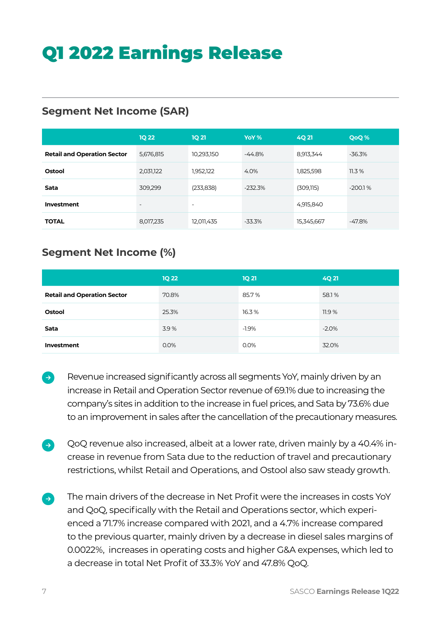### **Segment Net Income (SAR)**

|                                    | <b>1Q 22</b>             | <b>1Q 21</b>             | YoY %     | <b>4Q21</b> | <b>QoQ%</b> |
|------------------------------------|--------------------------|--------------------------|-----------|-------------|-------------|
| <b>Retail and Operation Sector</b> | 5,676,815                | 10,293,150               | $-44.8%$  | 8,913,344   | $-36.3%$    |
| Ostool                             | 2,031,122                | 1,952,122                | 4.0%      | 1,825,598   | 11.3%       |
| Sata                               | 309,299                  | (233, 838)               | $-232.3%$ | (309,115)   | $-200.1%$   |
| Investment                         | $\overline{\phantom{0}}$ | $\overline{\phantom{a}}$ |           | 4,915,840   |             |
| <b>TOTAL</b>                       | 8,017,235                | 12,011,435               | $-33.3\%$ | 15,345,667  | $-47.8%$    |

### **Segment Net Income (%)**

|                                    | <b>1Q 22</b> | <b>1Q 21</b> | <b>4Q21</b> |
|------------------------------------|--------------|--------------|-------------|
| <b>Retail and Operation Sector</b> | 70.8%        | 85.7%        | 58.1%       |
| Ostool                             | 25.3%        | 16.3%        | 11.9%       |
| Sata                               | 3.9%         | $-1.9\%$     | $-2.0\%$    |
| Investment                         | $0.0\%$      | 0.0%         | 32.0%       |

- Revenue increased significantly across all segments YoY, mainly driven by an  $\Rightarrow$ increase in Retail and Operation Sector revenue of 69.1% due to increasing the company's sites in addition to the increase in fuel prices, and Sata by 73.6% due to an improvement in sales after the cancellation of the precautionary measures.
- QoQ revenue also increased, albeit at a lower rate, driven mainly by a 40.4% in- $\rightarrow$ crease in revenue from Sata due to the reduction of travel and precautionary restrictions, whilst Retail and Operations, and Ostool also saw steady growth.
- The main drivers of the decrease in Net Profit were the increases in costs YoY  $\Rightarrow$ and QoQ, specifically with the Retail and Operations sector, which experienced a 71.7% increase compared with 2021, and a 4.7% increase compared to the previous quarter, mainly driven by a decrease in diesel sales margins of 0.0022%, increases in operating costs and higher G&A expenses, which led to a decrease in total Net Profit of 33.3% YoY and 47.8% QoQ.